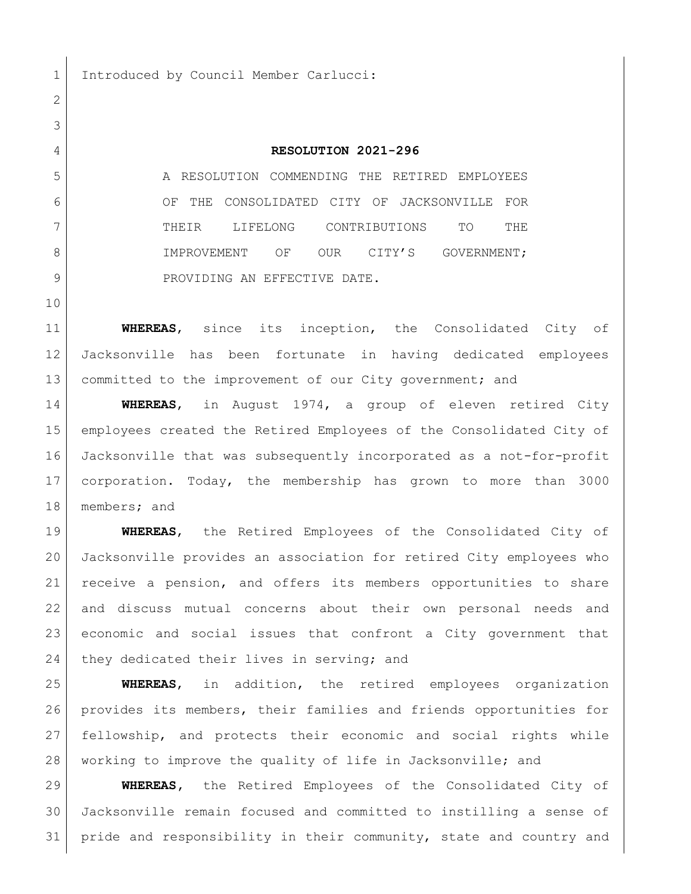1 Introduced by Council Member Carlucci:

## **RESOLUTION 2021-296**

 A RESOLUTION COMMENDING THE RETIRED EMPLOYEES OF THE CONSOLIDATED CITY OF JACKSONVILLE FOR THEIR LIFELONG CONTRIBUTIONS TO THE 8 IMPROVEMENT OF OUR CITY'S GOVERNMENT; 9 PROVIDING AN EFFECTIVE DATE.

 **WHEREAS**, since its inception, the Consolidated City of Jacksonville has been fortunate in having dedicated employees 13 committed to the improvement of our City government; and

 **WHEREAS**, in August 1974, a group of eleven retired City employees created the Retired Employees of the Consolidated City of Jacksonville that was subsequently incorporated as a not-for-profit corporation. Today, the membership has grown to more than 3000 members; and

 **WHEREAS**, the Retired Employees of the Consolidated City of Jacksonville provides an association for retired City employees who receive a pension, and offers its members opportunities to share and discuss mutual concerns about their own personal needs and economic and social issues that confront a City government that 24 they dedicated their lives in serving; and

 **WHEREAS**, in addition, the retired employees organization provides its members, their families and friends opportunities for fellowship, and protects their economic and social rights while working to improve the quality of life in Jacksonville; and

 **WHEREAS,** the Retired Employees of the Consolidated City of Jacksonville remain focused and committed to instilling a sense of pride and responsibility in their community, state and country and